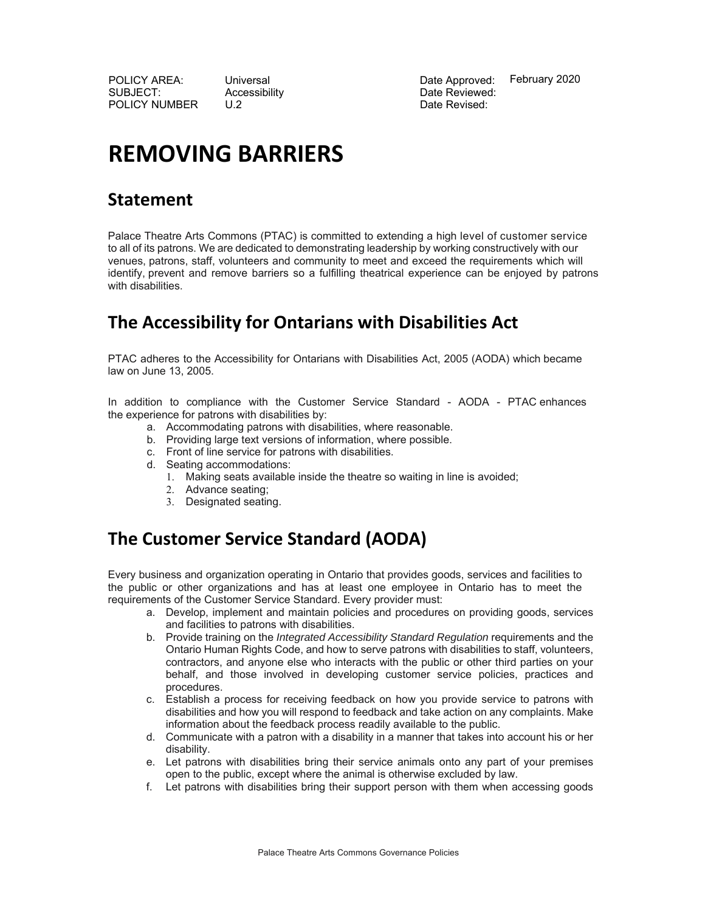POLICY AREA: Universal Date Approved: SUBJECT: Accessibility Date Reviewed: POLICY NUMBER U.2 Date Revised:

February 2020

# **REMOVING BARRIERS**

#### **Statement**

Palace Theatre Arts Commons (PTAC) is committed to extending a high level of customer service to all of its patrons. We are dedicated to demonstrating leadership by working constructively with our venues, patrons, staff, volunteers and community to meet and exceed the requirements which will identify, prevent and remove barriers so a fulfilling theatrical experience can be enjoyed by patrons with disabilities.

## **The Accessibility for Ontarians with Disabilities Act**

PTAC adheres to the Accessibility for Ontarians with Disabilities Act, 2005 (AODA) which became law on June 13, 2005.

In addition to compliance with the Customer Service Standard - AODA - PTAC enhances the experience for patrons with disabilities by:

- a. Accommodating patrons with disabilities, where reasonable.
- b. Providing large text versions of information, where possible.
- c. Front of line service for patrons with disabilities.
- d. Seating accommodations:
	- 1. Making seats available inside the theatre so waiting in line is avoided;
	- 2. Advance seating;
	- 3. Designated seating.

# **The Customer Service Standard (AODA)**

Every business and organization operating in Ontario that provides goods, services and facilities to the public or other organizations and has at least one employee in Ontario has to meet the requirements of the Customer Service Standard. Every provider must:

- a. Develop, implement and maintain policies and procedures on providing goods, services and facilities to patrons with disabilities.
- b. Provide training on the *Integrated Accessibility Standard Regulation* requirements and the Ontario Human Rights Code, and how to serve patrons with disabilities to staff, volunteers, contractors, and anyone else who interacts with the public or other third parties on your behalf, and those involved in developing customer service policies, practices and procedures.
- c. Establish a process for receiving feedback on how you provide service to patrons with disabilities and how you will respond to feedback and take action on any complaints. Make information about the feedback process readily available to the public.
- d. Communicate with a patron with a disability in a manner that takes into account his or her disability.
- e. Let patrons with disabilities bring their service animals onto any part of your premises open to the public, except where the animal is otherwise excluded by law.
- f. Let patrons with disabilities bring their support person with them when accessing goods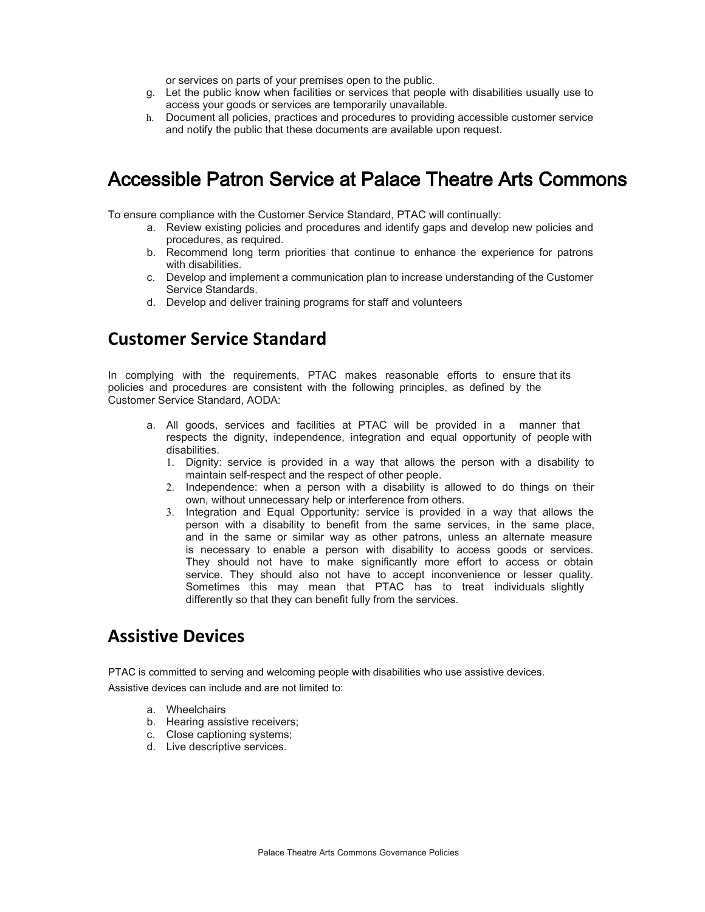or services on parts of your premises open to the public.

- g. Let the public know when facilities or services that people with disabilities usually use to access your goods or services are temporarily unavailable.
- h. Document all policies, practices and procedures to providing accessible customer service and notify the public that these documents are available upon request.

## Accessible Patron Service at Palace Theatre Arts Commons

To ensure compliance with the Customer Service Standard, PTAC will continually:

- a. Review existing policies and procedures and identify gaps and develop new policies and procedures, as required.
- b. Recommend long term priorities that continue to enhance the experience for patrons with disabilities.
- c. Develop and implement a communication plan to increase understanding of the Customer Service Standards.
- d. Develop and deliver training programs for staff and volunteers

#### **Customer Service Standard**

In complying with the requirements, PTAC makes reasonable efforts to ensure that its policies and procedures are consistent with the following principles, as defined by the Customer Service Standard, AODA:

- a. All goods, services and facilities at PTAC will be provided in a manner that respects the dignity, independence, integration and equal opportunity of people with disabilities.
	- 1. Dignity: service is provided in a way that allows the person with a disability to maintain self-respect and the respect of other people.
	- 2. Independence: when a person with a disability is allowed to do things on their own, without unnecessary help or interference from others.
	- 3. Integration and Equal Opportunity: service is provided in a way that allows the person with a disability to benefit from the same services, in the same place, and in the same or similar way as other patrons, unless an alternate measure is necessary to enable a person with disability to access goods or services. They should not have to make significantly more effort to access or obtain service. They should also not have to accept inconvenience or lesser quality. Sometimes this may mean that PTAC has to treat individuals slightly differently so that they can benefit fully from the services.

#### **Assistive Devices**

PTAC is committed to serving and welcoming people with disabilities who use assistive devices. Assistive devices can include and are not limited to:

- a. Wheelchairs
- b. Hearing assistive receivers;
- c. Close captioning systems;
- d. Live descriptive services.